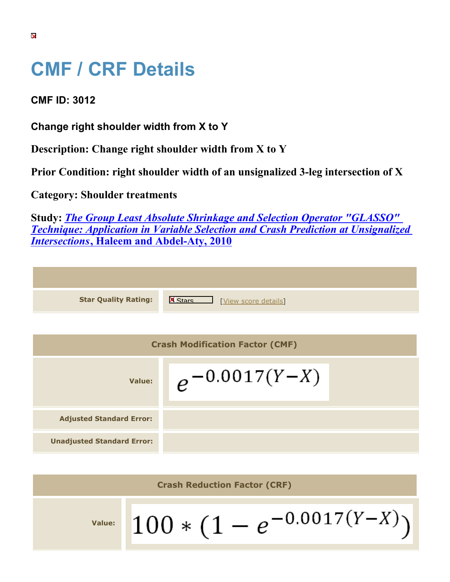## **CMF / CRF Details**

**CMF ID: 3012**

**Change right shoulder width from X to Y**

**Description: Change right shoulder width from X to Y**

**Prior Condition: right shoulder width of an unsignalized 3-leg intersection of X**

**Category: Shoulder treatments**

**Study:** *[The Group Least Absolute Shrinkage and Selection Operator "GLASSO"](https://cmfclearinghouse.org/study_detail.cfm?stid=209) [Technique: Application in Variable Selection and Crash Prediction at Unsignalized](https://cmfclearinghouse.org/study_detail.cfm?stid=209) [Intersections](https://cmfclearinghouse.org/study_detail.cfm?stid=209)***[, Haleem and Abdel-Aty, 2010](https://cmfclearinghouse.org/study_detail.cfm?stid=209)**

| <b>Star Quality Rating:</b>            | $\overline{\mathbf{x}}$<br>[View score details] |  |
|----------------------------------------|-------------------------------------------------|--|
|                                        |                                                 |  |
| <b>Crash Modification Factor (CMF)</b> |                                                 |  |
| Value:                                 | $e^{-0.0017(Y-X)}$                              |  |
| <b>Adjusted Standard Error:</b>        |                                                 |  |
| <b>Unadjusted Standard Error:</b>      |                                                 |  |

**Crash Reduction Factor (CRF)**  $100 * (1 - e^{-0.0017(Y-X)})$ **Value:**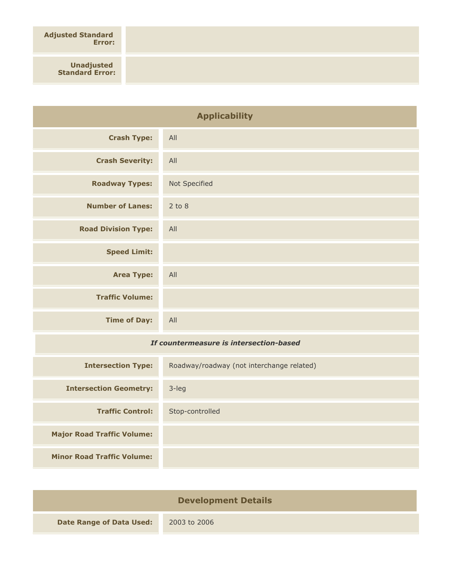**Adjusted Standard Error:**

> **Unadjusted Standard Error:**

| <b>Applicability</b>                    |               |
|-----------------------------------------|---------------|
| <b>Crash Type:</b>                      | All           |
| <b>Crash Severity:</b>                  | All           |
| <b>Roadway Types:</b>                   | Not Specified |
| <b>Number of Lanes:</b>                 | $2$ to $8$    |
| <b>Road Division Type:</b>              | All           |
| <b>Speed Limit:</b>                     |               |
| <b>Area Type:</b>                       | All           |
| <b>Traffic Volume:</b>                  |               |
| <b>Time of Day:</b>                     | All           |
| If countermeasure is intersection-based |               |

## *If countermeasure is intersection-based*

| <b>Intersection Type:</b>         | Roadway/roadway (not interchange related) |
|-----------------------------------|-------------------------------------------|
| <b>Intersection Geometry:</b>     | $3$ -leg                                  |
| <b>Traffic Control:</b>           | Stop-controlled                           |
| <b>Major Road Traffic Volume:</b> |                                           |
| <b>Minor Road Traffic Volume:</b> |                                           |

| <b>Development Details</b>      |              |
|---------------------------------|--------------|
| <b>Date Range of Data Used:</b> | 2003 to 2006 |